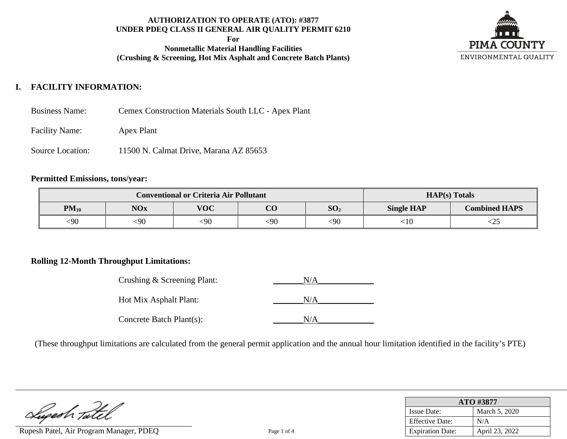**For**

**Nonmetallic Material Handling Facilities (Crushing & Screening, Hot Mix Asphalt and Concrete Batch Plants)**



# **I. FACILITY INFORMATION:**

- Business Name: Cemex Construction Materials South LLC Apex Plant
- Facility Name: Apex Plant
- Source Location: 11500 N. Calmat Drive, Marana AZ 85653

# **Permitted Emissions, tons/year:**

|           | <b>Conventional or Criteria Air Pollutant</b> |            | $HAP(s)$ Totals |                 |                   |                      |
|-----------|-----------------------------------------------|------------|-----------------|-----------------|-------------------|----------------------|
| $PM_{10}$ | <b>NOx</b>                                    | <b>VOC</b> | $\Omega$<br>UU  | SO <sub>2</sub> | <b>Single HAP</b> | <b>Combined HAPS</b> |
| <90       | <90                                           | <90        | $090$           | $90$            | ${<}10$           | ームコ                  |

# **Rolling 12-Month Throughput Limitations:**

| Crushing & Screening Plant: | N/A |
|-----------------------------|-----|
| Hot Mix Asphalt Plant:      | N/A |
| Concrete Batch Plant(s):    | N/A |

(These throughput limitations are calculated from the general permit application and the annual hour limitation identified in the facility's PTE)

Lupeah Tatel

Rupesh Patel, Air Program Manager, PDEQ Page 1 of 4

| ATO #3877               |                |  |  |  |
|-------------------------|----------------|--|--|--|
| <b>Issue Date:</b>      | March 5, 2020  |  |  |  |
| <b>Effective Date:</b>  | N/A            |  |  |  |
| <b>Expiration Date:</b> | April 23, 2022 |  |  |  |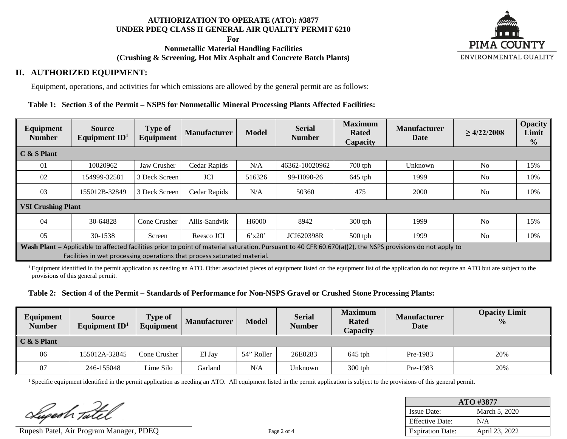**For**

## **Nonmetallic Material Handling Facilities (Crushing & Screening, Hot Mix Asphalt and Concrete Batch Plants)**



# **II. AUTHORIZED EQUIPMENT:**

Equipment, operations, and activities for which emissions are allowed by the general permit are as follows:

## **Table 1: Section 3 of the Permit – NSPS for Nonmetallic Mineral Processing Plants Affected Facilities:**

| Equipment<br><b>Number</b>                                                                                                                                                                                                             | <b>Source</b><br>Equipment $ID1$ | <b>Type of</b><br>Equipment | <b>Manufacturer</b> | <b>Model</b>      | <b>Serial</b><br><b>Number</b> | <b>Maximum</b><br><b>Rated</b><br>Capacity | <b>Manufacturer</b><br>Date | $\geq 4/22/2008$ | <b>Opacity</b><br>Limit<br>$\frac{0}{0}$ |
|----------------------------------------------------------------------------------------------------------------------------------------------------------------------------------------------------------------------------------------|----------------------------------|-----------------------------|---------------------|-------------------|--------------------------------|--------------------------------------------|-----------------------------|------------------|------------------------------------------|
| $C & S$ Plant                                                                                                                                                                                                                          |                                  |                             |                     |                   |                                |                                            |                             |                  |                                          |
| 01                                                                                                                                                                                                                                     | 10020962                         | Jaw Crusher                 | Cedar Rapids        | N/A               | 46362-10020962                 | $700$ tph                                  | Unknown                     | N <sub>o</sub>   | 15%                                      |
| 02                                                                                                                                                                                                                                     | 154999-32581                     | 3 Deck Screen               | <b>JCI</b>          | 516326            | 99-H090-26                     | $645$ tph                                  | 1999                        | N <sub>o</sub>   | 10%                                      |
| 03                                                                                                                                                                                                                                     | 155012B-32849                    | 3 Deck Screen               | Cedar Rapids        | N/A               | 50360                          | 475                                        | 2000                        | N <sub>o</sub>   | 10%                                      |
|                                                                                                                                                                                                                                        | <b>VSI Crushing Plant</b>        |                             |                     |                   |                                |                                            |                             |                  |                                          |
| 04                                                                                                                                                                                                                                     | 30-64828                         | Cone Crusher                | Allis-Sandvik       | H <sub>6000</sub> | 8942                           | $300$ tph                                  | 1999                        | N <sub>0</sub>   | 15%                                      |
| 05                                                                                                                                                                                                                                     | 30-1538                          | Screen                      | Reesco JCI          | 6'x20'            | <b>JCI620398R</b>              | $500$ tph                                  | 1999                        | N <sub>o</sub>   | 10%                                      |
| Wash Plant – Applicable to affected facilities prior to point of material saturation. Pursuant to 40 CFR 60.670(a)(2), the NSPS provisions do not apply to<br>Facilities in wet processing operations that process saturated material. |                                  |                             |                     |                   |                                |                                            |                             |                  |                                          |

<sup>1</sup> Equipment identified in the permit application as needing an ATO. Other associated pieces of equipment listed on the equipment list of the application do not require an ATO but are subject to the provisions of this general permit.

#### **Table 2: Section 4 of the Permit – Standards of Performance for Non-NSPS Gravel or Crushed Stone Processing Plants:**

| Equipment<br><b>Number</b> | <b>Source</b><br>Equipment $ID1$ | <b>Type of</b><br>Equipment | <b>Manufacturer</b> | <b>Model</b> | <b>Serial</b><br><b>Number</b> | <b>Maximum</b><br><b>Rated</b><br>Capacity | <b>Manufacturer</b><br>Date | <b>Opacity Limit</b><br>$\frac{0}{0}$ |
|----------------------------|----------------------------------|-----------------------------|---------------------|--------------|--------------------------------|--------------------------------------------|-----------------------------|---------------------------------------|
| $C & S$ Plant              |                                  |                             |                     |              |                                |                                            |                             |                                       |
| 06                         | 155012A-32845                    | Cone Crusher                | El Jay              | 54" Roller   | 26E0283                        | $645$ tph                                  | Pre-1983                    | 20%                                   |
| 07                         | 246-155048                       | Lime Silo                   | Garland             | N/A          | Unknown                        | $300$ tph                                  | Pre-1983                    | 20%                                   |

<sup>1</sup> Specific equipment identified in the permit application as needing an ATO. All equipment listed in the permit application is subject to the provisions of this general permit.

Lupesh Tatel

Rupesh Patel, Air Program Manager, PDEQ Page 2 of 4

| ATO #3877               |                |  |  |  |
|-------------------------|----------------|--|--|--|
| <b>Issue Date:</b>      | March 5, 2020  |  |  |  |
| <b>Effective Date:</b>  | N/A            |  |  |  |
| <b>Expiration Date:</b> | April 23, 2022 |  |  |  |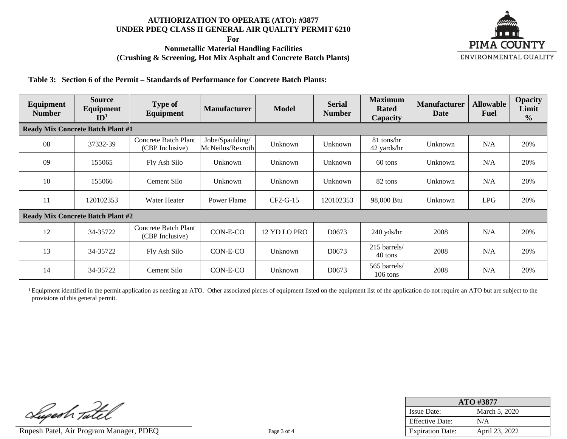**For**

## **Nonmetallic Material Handling Facilities (Crushing & Screening, Hot Mix Asphalt and Concrete Batch Plants)**



**Table 3: Section 6 of the Permit – Standards of Performance for Concrete Batch Plants:**

| Equipment<br><b>Number</b> | <b>Source</b><br>Equipment<br>ID <sup>1</sup> | <b>Type of</b><br>Equipment             | <b>Manufacturer</b>                 | <b>Model</b> | <b>Serial</b><br><b>Number</b> | <b>Maximum</b><br><b>Rated</b><br><b>Capacity</b> | <b>Manufacturer</b><br><b>Date</b> | <b>Allowable</b><br><b>Fuel</b> | <b>Opacity</b><br>Limit<br>$\frac{0}{0}$ |
|----------------------------|-----------------------------------------------|-----------------------------------------|-------------------------------------|--------------|--------------------------------|---------------------------------------------------|------------------------------------|---------------------------------|------------------------------------------|
|                            | <b>Ready Mix Concrete Batch Plant #1</b>      |                                         |                                     |              |                                |                                                   |                                    |                                 |                                          |
| 08                         | 37332-39                                      | Concrete Batch Plant<br>(CBP Inclusive) | Jobe/Spaulding/<br>McNeilus/Rexroth | Unknown      | Unknown                        | 81 tons/hr<br>42 yards/hr                         | Unknown                            | N/A                             | 20%                                      |
| 09                         | 155065                                        | Fly Ash Silo                            | Unknown                             | Unknown      | Unknown                        | 60 tons                                           | Unknown                            | N/A                             | 20%                                      |
| 10                         | 155066                                        | Cement Silo                             | Unknown                             | Unknown      | Unknown                        | 82 tons                                           | Unknown                            | N/A                             | 20%                                      |
| 11                         | 120102353                                     | Water Heater                            | Power Flame                         | CF2-G-15     | 120102353                      | 98,000 Btu                                        | Unknown                            | <b>LPG</b>                      | 20%                                      |
|                            | <b>Ready Mix Concrete Batch Plant #2</b>      |                                         |                                     |              |                                |                                                   |                                    |                                 |                                          |
| 12                         | 34-35722                                      | Concrete Batch Plant<br>(CBP Inclusive) | CON-E-CO                            | 12 YD LO PRO | D0673                          | $240$ yds/hr                                      | 2008                               | N/A                             | 20%                                      |
| 13                         | 34-35722                                      | Fly Ash Silo                            | CON-E-CO                            | Unknown      | D0673                          | 215 barrels/<br>40 tons                           | 2008                               | N/A                             | 20%                                      |
| 14                         | 34-35722                                      | Cement Silo                             | CON-E-CO                            | Unknown      | D <sub>0673</sub>              | 565 barrels/<br>106 tons                          | 2008                               | N/A                             | 20%                                      |

<sup>1</sup> Equipment identified in the permit application as needing an ATO. Other associated pieces of equipment listed on the equipment list of the application do not require an ATO but are subject to the provisions of this general permit.

Lugesh Tatel

Rupesh Patel, Air Program Manager, PDEQ Page 3 of 4

| ATO #3877               |                |  |  |  |
|-------------------------|----------------|--|--|--|
| <b>Issue Date:</b>      | March 5, 2020  |  |  |  |
| <b>Effective Date:</b>  | N/A            |  |  |  |
| <b>Expiration Date:</b> | April 23, 2022 |  |  |  |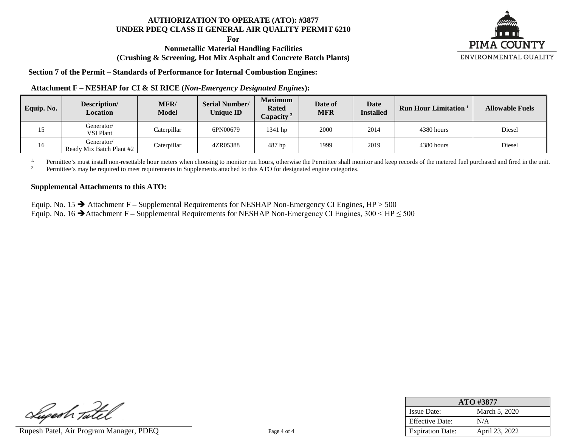**For**

## **Nonmetallic Material Handling Facilities (Crushing & Screening, Hot Mix Asphalt and Concrete Batch Plants)**



**Section 7 of the Permit – Standards of Performance for Internal Combustion Engines:**

#### **Attachment F – NESHAP for CI & SI RICE (***Non-Emergency Designated Engines***):**

| Equip. No. | Description/<br>Location               | MFR/<br><b>Model</b> | <b>Serial Number/</b><br><b>Unique ID</b> | <b>Maximum</b><br><b>Rated</b><br>Capacity <sup>2</sup> | Date of<br><b>MFR</b> | <b>Date</b><br><b>Installed</b> | <b>Run Hour Limitation</b> | <b>Allowable Fuels</b> |
|------------|----------------------------------------|----------------------|-------------------------------------------|---------------------------------------------------------|-----------------------|---------------------------------|----------------------------|------------------------|
|            | Generator/<br><b>VSI Plant</b>         | Caterpillar          | 6PN00679                                  | $1341$ hp                                               | 2000                  | 2014                            | 4380 hours                 | Diesel                 |
| 16         | Generator/<br>Ready Mix Batch Plant #2 | Caterpillar          | 4ZR05388                                  | 487 hp                                                  | 1999                  | 2019                            | 4380 hours                 | Diesel                 |

<sup>1.</sup> Permittee's must install non-resettable hour meters when choosing to monitor run hours, otherwise the Permittee shall monitor and keep records of the metered fuel purchased and fired in the unit.<br><sup>2.</sup> Permittee's may

2. Permittee's may be required to meet requirements in Supplements attached to this ATO for designated engine categories.

#### **Supplemental Attachments to this ATO:**

Equip. No. 15  $\rightarrow$  Attachment F – Supplemental Requirements for NESHAP Non-Emergency CI Engines, HP > 500 Equip. No. 16  $\rightarrow$  Attachment F – Supplemental Requirements for NESHAP Non-Emergency CI Engines, 300 < HP  $\leq$  500

Lugesh Tatel

Rupesh Patel, Air Program Manager, PDEQ Page 4 of 4

| ATO #3877               |                |  |  |
|-------------------------|----------------|--|--|
| <b>Issue Date:</b>      | March 5, 2020  |  |  |
| <b>Effective Date:</b>  | N/A            |  |  |
| <b>Expiration Date:</b> | April 23, 2022 |  |  |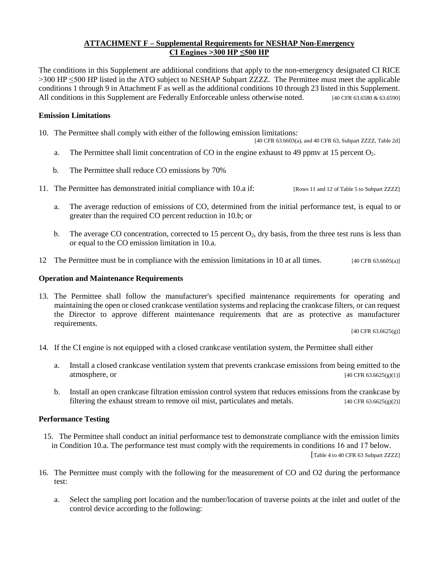## **ATTACHMENT F – Supplemental Requirements for NESHAP Non-Emergency CI Engines >300 HP ≤500 HP**

The conditions in this Supplement are additional conditions that apply to the non-emergency designated CI RICE >300 HP ≤500 HP listed in the ATO subject to NESHAP Subpart ZZZZ. The Permittee must meet the applicable conditions 1 through 9 in Attachment F as well as the additional conditions 10 through 23 listed in this Supplement. All conditions in this Supplement are Federally Enforceable unless otherwise noted. [40 CFR 63.6580 & 63.6590]

#### **Emission Limitations**

10. The Permittee shall comply with either of the following emission limitations:

[40 CFR 63.6603(a), and 40 CFR 63, Subpart ZZZZ, Table 2d]

- a. The Permittee shall limit concentration of CO in the engine exhaust to 49 ppmv at 15 percent O<sub>2</sub>.
- b. The Permittee shall reduce CO emissions by 70%
- 11. The Permittee has demonstrated initial compliance with 10.a if: [Rows 11 and 12 of Table 5 to Subpart ZZZZ]
	- a. The average reduction of emissions of CO, determined from the initial performance test, is equal to or greater than the required CO percent reduction in 10.b; or
	- b. The average CO concentration, corrected to 15 percent  $O_2$ , dry basis, from the three test runs is less than or equal to the CO emission limitation in 10.a.
- 12 The Permittee must be in compliance with the emission limitations in 10 at all times. [40 CFR 63.6605(a)]

#### **Operation and Maintenance Requirements**

13. The Permittee shall follow the manufacturer's specified maintenance requirements for operating and maintaining the open or closed crankcase ventilation systems and replacing the crankcase filters, or can request the Director to approve different maintenance requirements that are as protective as manufacturer requirements.

[40 CFR  $63.6625(g)$ ]

- 14. If the CI engine is not equipped with a closed crankcase ventilation system, the Permittee shall either
	- a. Install a closed crankcase ventilation system that prevents crankcase emissions from being emitted to the atmosphere, or  $[40 \text{ CFR } 63.6625(g)(1)]$
	- b. Install an open crankcase filtration emission control system that reduces emissions from the crankcase by filtering the exhaust stream to remove oil mist, particulates and metals.  $[40 \text{ CFR } 63.6625(g)(2)]$

#### **Performance Testing**

15. The Permittee shall conduct an initial performance test to demonstrate compliance with the emission limits in Condition 10.a. The performance test must comply with the requirements in conditions 16 and 17 below.

[Table 4 to 40 CFR 63 Subpart ZZZZ]

- 16. The Permittee must comply with the following for the measurement of CO and O2 during the performance test:
	- a. Select the sampling port location and the number/location of traverse points at the inlet and outlet of the control device according to the following: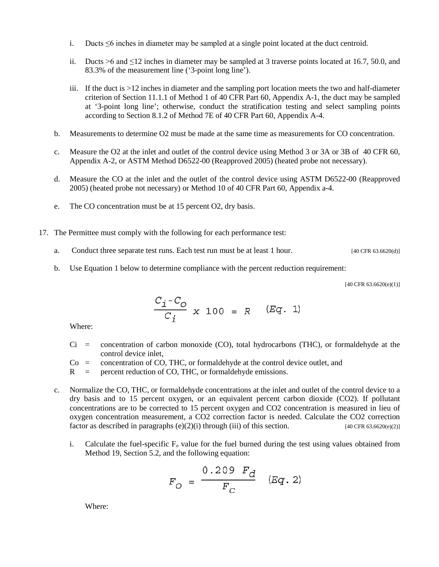- i. Ducts  $\leq 6$  inches in diameter may be sampled at a single point located at the duct centroid.
- ii. Ducts >6 and  $\leq$ 12 inches in diameter may be sampled at 3 traverse points located at 16.7, 50.0, and 83.3% of the measurement line ('3-point long line').
- iii. If the duct is >12 inches in diameter and the sampling port location meets the two and half-diameter criterion of Section 11.1.1 of Method 1 of 40 CFR Part 60, Appendix A-1, the duct may be sampled at '3-point long line'; otherwise, conduct the stratification testing and select sampling points according to Section 8.1.2 of Method 7E of 40 CFR Part 60, Appendix A-4.
- b. Measurements to determine O2 must be made at the same time as measurements for CO concentration.
- c. Measure the O2 at the inlet and outlet of the control device using Method 3 or 3A or 3B of 40 CFR 60, Appendix A-2, or ASTM Method D6522-00 (Reapproved 2005) (heated probe not necessary).
- d. Measure the CO at the inlet and the outlet of the control device using ASTM D6522-00 (Reapproved 2005) (heated probe not necessary) or Method 10 of 40 CFR Part 60, Appendix a-4.
- e. The CO concentration must be at 15 percent O2, dry basis.
- 17. The Permittee must comply with the following for each performance test:
	- a. Conduct three separate test runs. Each test run must be at least 1 hour. [40 CFR 63.6620(d)]
	- b. Use Equation 1 below to determine compliance with the percent reduction requirement:

 $[40 \text{ CFR } 63.6620(e)(1)]$ 

$$
\frac{C_{i} - C_{O}}{C_{i}} \times 100 = R \quad (Eq. 1)
$$

Where:

- Ci = concentration of carbon monoxide (CO), total hydrocarbons (THC), or formaldehyde at the control device inlet,
- $Co =$  concentration of CO, THC, or formaldehyde at the control device outlet, and
- R = percent reduction of CO, THC, or formaldehyde emissions.
- c. Normalize the CO, THC, or formaldehyde concentrations at the inlet and outlet of the control device to a dry basis and to 15 percent oxygen, or an equivalent percent carbon dioxide (CO2). If pollutant concentrations are to be corrected to 15 percent oxygen and CO2 concentration is measured in lieu of oxygen concentration measurement, a CO2 correction factor is needed. Calculate the CO2 correction factor as described in paragraphs (e)(2)(i) through (iii) of this section. [40 CFR 63.6620(e)(2)]
	- i. Calculate the fuel-specific  $F_0$  value for the fuel burned during the test using values obtained from Method 19, Section 5.2, and the following equation:

$$
F_O = \frac{0.209 \ F_d}{F_C} \quad (Eq. 2)
$$

Where: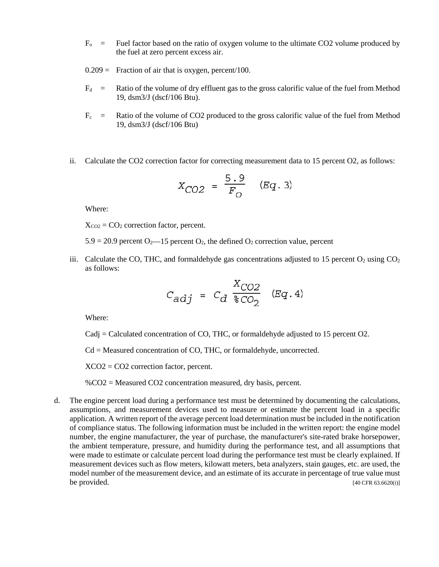- $F<sub>o</sub>$  = Fuel factor based on the ratio of oxygen volume to the ultimate CO2 volume produced by the fuel at zero percent excess air.
- $0.209 =$  Fraction of air that is oxygen, percent/100.
- $F_d$  = Ratio of the volume of dry effluent gas to the gross calorific value of the fuel from Method 19, dsm3/J (dscf/106 Btu).
- $F_c$  = Ratio of the volume of CO2 produced to the gross calorific value of the fuel from Method 19, dsm3/J (dscf/106 Btu)
- ii. Calculate the CO2 correction factor for correcting measurement data to 15 percent O2, as follows:

$$
X_{CO2} = \frac{5.9}{F_O} \quad (Eq. 3)
$$

Where:

 $X_{CO2} = CO<sub>2</sub>$  correction factor, percent.

 $5.9 = 20.9$  percent  $O_2$ —15 percent  $O_2$ , the defined  $O_2$  correction value, percent

iii. Calculate the CO, THC, and formaldehyde gas concentrations adjusted to 15 percent  $O_2$  using  $CO_2$ as follows:

$$
C_{adj} = C_d \frac{X_{CO2}}{\text{CO}_2} \quad (Eq. 4)
$$

Where:

Cadj = Calculated concentration of CO, THC, or formaldehyde adjusted to 15 percent O2.

Cd = Measured concentration of CO, THC, or formaldehyde, uncorrected.

XCO2 = CO2 correction factor, percent.

%CO2 = Measured CO2 concentration measured, dry basis, percent.

d. The engine percent load during a performance test must be determined by documenting the calculations, assumptions, and measurement devices used to measure or estimate the percent load in a specific application. A written report of the average percent load determination must be included in the notification of compliance status. The following information must be included in the written report: the engine model number, the engine manufacturer, the year of purchase, the manufacturer's site-rated brake horsepower, the ambient temperature, pressure, and humidity during the performance test, and all assumptions that were made to estimate or calculate percent load during the performance test must be clearly explained. If measurement devices such as flow meters, kilowatt meters, beta analyzers, stain gauges, etc. are used, the model number of the measurement device, and an estimate of its accurate in percentage of true value must  $b$ e provided. [40 CFR 63.6620(i)]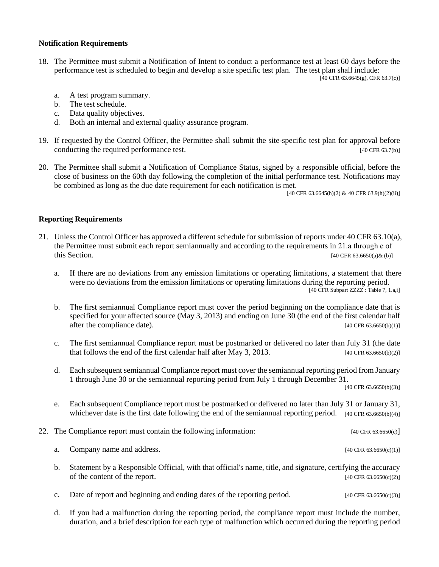#### **Notification Requirements**

18. The Permittee must submit a Notification of Intent to conduct a performance test at least 60 days before the performance test is scheduled to begin and develop a site specific test plan. The test plan shall include:

 $[40 \text{ CFR } 63.6645(g), \text{ CFR } 63.7(c)]$ 

- a. A test program summary.
- b. The test schedule.
- c. Data quality objectives.
- d. Both an internal and external quality assurance program.
- 19. If requested by the Control Officer, the Permittee shall submit the site-specific test plan for approval before conducting the required performance test. [40 CFR 63.7(b)]
- 20. The Permittee shall submit a Notification of Compliance Status, signed by a responsible official, before the close of business on the 60th day following the completion of the initial performance test. Notifications may be combined as long as the due date requirement for each notification is met.

[40 CFR 63.6645(h)(2) & 40 CFR 63.9(h)(2)(ii)]

#### **Reporting Requirements**

- 21. Unless the Control Officer has approved a different schedule for submission of reports under 40 CFR 63.10(a), the Permittee must submit each report semiannually and according to the requirements in 21.a through e of this Section.  $[40 \text{ CFR } 63.6650(a) \& (b)]$ 
	- a. If there are no deviations from any emission limitations or operating limitations, a statement that there were no deviations from the emission limitations or operating limitations during the reporting period. [40 CFR Subpart ZZZZ : Table 7, 1.a,i]
	- b. The first semiannual Compliance report must cover the period beginning on the compliance date that is specified for your affected source (May 3, 2013) and ending on June 30 (the end of the first calendar half after the compliance date).  $[40 \text{ CFR } 63.6650(b)(1)]$
	- c. The first semiannual Compliance report must be postmarked or delivered no later than July 31 (the date that follows the end of the first calendar half after May 3, 2013.  $[40 \text{ CFR } 63.6650(6)/2]$
	- d. Each subsequent semiannual Compliance report must cover the semiannual reporting period from January 1 through June 30 or the semiannual reporting period from July 1 through December 31.

[40 CFR 63.6650(b)(3)]

- e. Each subsequent Compliance report must be postmarked or delivered no later than July 31 or January 31, whichever date is the first date following the end of the semiannual reporting period.  $[40 \text{ CFR } 63.6650(6)(4)]$
- 22. The Compliance report must contain the following information: [40 CFR 63.6650(c)]
	- a. Company name and address.  $[40 \text{ CFR } 63.6650(c)(1)]$
	- b. Statement by a Responsible Official, with that official's name, title, and signature, certifying the accuracy of the content of the report.  $[40 \text{ CFR } 63.6650(c)(2)]$
	- c. Date of report and beginning and ending dates of the reporting period.  $[40 \text{ CFR } 63.6650(c)(3)]$
	- d. If you had a malfunction during the reporting period, the compliance report must include the number, duration, and a brief description for each type of malfunction which occurred during the reporting period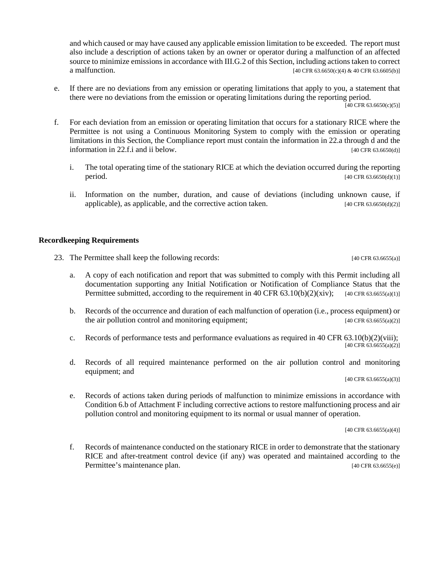and which caused or may have caused any applicable emission limitation to be exceeded. The report must also include a description of actions taken by an owner or operator during a malfunction of an affected source to minimize emissions in accordance with III.G.2 of this Section, including actions taken to correct a malfunction. [40 CFR 63.6650(c)(4) & 40 CFR 63.6650(s)]

e. If there are no deviations from any emission or operating limitations that apply to you, a statement that there were no deviations from the emission or operating limitations during the reporting period.

 $[40 \text{ CFR } 63.6650(c)(5)]$ 

- f. For each deviation from an emission or operating limitation that occurs for a stationary RICE where the Permittee is not using a Continuous Monitoring System to comply with the emission or operating limitations in this Section, the Compliance report must contain the information in 22.a through d and the information in 22.f.i and ii below.  $[40 \text{ CFR } 63.6650(d)]$ 
	- i. The total operating time of the stationary RICE at which the deviation occurred during the reporting **period.** [40 CFR 63.6650(d)(1)]
	- ii. Information on the number, duration, and cause of deviations (including unknown cause, if applicable), as applicable, and the corrective action taken. [40 CFR 63.6650(d)(2)]

## **Recordkeeping Requirements**

23. The Permittee shall keep the following records: [40 CFR 63.6655(a)]

- a. A copy of each notification and report that was submitted to comply with this Permit including all documentation supporting any Initial Notification or Notification of Compliance Status that the Permittee submitted, according to the requirement in 40 CFR  $63.10(b)(2)(xiv)$ ; [40 CFR 63.6655(a)(1)]
- b. Records of the occurrence and duration of each malfunction of operation (i.e., process equipment) or the air pollution control and monitoring equipment;  $[40 \text{ CFR } 63.6655(a/2)]$
- c. Records of performance tests and performance evaluations as required in 40 CFR 63.10(b)(2)(viii); [40 CFR 63.6655(a)(2)]
- d. Records of all required maintenance performed on the air pollution control and monitoring equipment; and

[40 CFR 63.6655(a)(3)]

e. Records of actions taken during periods of malfunction to minimize emissions in accordance with Condition 6.b of Attachment F including corrective actions to restore malfunctioning process and air pollution control and monitoring equipment to its normal or usual manner of operation.

[40 CFR 63.6655(a)(4)]

f. Records of maintenance conducted on the stationary RICE in order to demonstrate that the stationary RICE and after-treatment control device (if any) was operated and maintained according to the Permittee's maintenance plan. [40 CFR 63.6655(e)]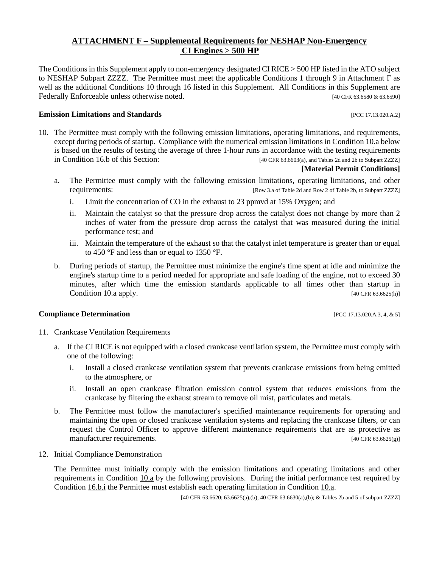# **ATTACHMENT F – Supplemental Requirements for NESHAP Non-Emergency CI Engines > 500 HP**

The Conditions in this Supplement apply to non-emergency designated CI RICE > 500 HP listed in the ATO subject to NESHAP Subpart ZZZZ. The Permittee must meet the applicable Conditions 1 through 9 in Attachment F as well as the additional Conditions 10 through 16 listed in this Supplement. All Conditions in this Supplement are Federally Enforceable unless otherwise noted. [40 CFR 63.6580 & 63.6590]

## **Emission Limitations and Standards Emission Limitations and Standards Executive Limitations and Standards Executive Limitations and Standards Executive Limitations and Standards**

10. The Permittee must comply with the following emission limitations, operating limitations, and requirements, except during periods of startup. Compliance with the numerical emission limitations in Condition 10.a below is based on the results of testing the average of three 1-hour runs in accordance with the testing requirements in [Condition 16.b](#page-13-0) of this Section: [40 CFR 63.6603(a), and Tables 2d and 2b to Subpart ZZZZ]

#### **[Material Permit Conditions]**

- <span id="page-9-0"></span>a. The Permittee must comply with the following emission limitations, operating limitations, and other requirements: [Row 3.a of Table 2d and Row 2 of Table 2b, to Subpart ZZZZ]
	- i. Limit the concentration of CO in the exhaust to 23 ppmvd at 15% Oxygen; and
	- ii. Maintain the catalyst so that the pressure drop across the catalyst does not change by more than 2 inches of water from the pressure drop across the catalyst that was measured during the initial performance test; and
	- iii. Maintain the temperature of the exhaust so that the catalyst inlet temperature is greater than or equal to 450 °F and less than or equal to 1350 °F.
- <span id="page-9-2"></span>b. During periods of startup, the Permittee must minimize the engine's time spent at idle and minimize the engine's startup time to a period needed for appropriate and safe loading of the engine, not to exceed 30 minutes, after which time the emission standards applicable to all times other than startup in [Condition](#page-9-0) 10.a apply. [40 CFR 63.6625(h)]

#### **Compliance Determination** [PCC 17.13.020.A.3, 4, & 5]

- 11. Crankcase Ventilation Requirements
	- a. If the CI RICE is not equipped with a closed crankcase ventilation system, the Permittee must comply with one of the following:
		- i. Install a closed crankcase ventilation system that prevents crankcase emissions from being emitted to the atmosphere, or
		- ii. Install an open crankcase filtration emission control system that reduces emissions from the crankcase by filtering the exhaust stream to remove oil mist, particulates and metals.
	- b. The Permittee must follow the manufacturer's specified maintenance requirements for operating and maintaining the open or closed crankcase ventilation systems and replacing the crankcase filters, or can request the Control Officer to approve different maintenance requirements that are as protective as manufacturer requirements. [40 CFR 63.6625(g)]
- <span id="page-9-1"></span>12. Initial Compliance Demonstration

The Permittee must initially comply with the emission limitations and operating limitations and other requirements in [Condition 10.a](#page-9-0) by the following provisions. During the initial performance test required by [Condition 16.b.i](#page-14-0) the Permittee must establish each operating limitation i[n Condition 10.a.](#page-9-0)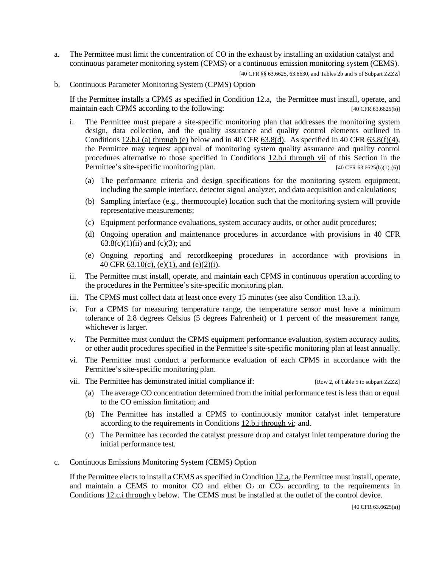- <span id="page-10-0"></span>a. The Permittee must limit the concentration of CO in the exhaust by installing an oxidation catalyst and continuous parameter monitoring system (CPMS) or a continuous emission monitoring system (CEMS).
	- [40 CFR §§ 63.6625, 63.6630, and Tables 2b and 5 of Subpart ZZZZ]
- <span id="page-10-3"></span>b. Continuous Parameter Monitoring System (CPMS) Option

If the Permittee installs a CPMS as specified in [Condition 12.a,](#page-10-0) the Permittee must install, operate, and maintain each CPMS according to the following: [40 CFR 63.6625(b)]

- <span id="page-10-2"></span><span id="page-10-1"></span>i. The Permittee must prepare a site-specific monitoring plan that addresses the monitoring system design, data collection, and the quality assurance and quality control elements outlined in Conditions  $12.b.i$  (a) through (e) below and in 40 CFR  $63.8(d)$ . As specified in 40 CFR  $63.8(f)(4)$ , the Permittee may request approval of monitoring system quality assurance and quality control procedures alternative to those specified in Conditions [12.b.i through vii](#page-10-2) of this Section in the Permittee's site-specific monitoring plan. [40 CFR 63.6625(b)(1)-(6)]
	- (a) The performance criteria and design specifications for the monitoring system equipment, including the sample interface, detector signal analyzer, and data acquisition and calculations;
	- (b) Sampling interface (e.g., thermocouple) location such that the monitoring system will provide representative measurements;
	- (c) Equipment performance evaluations, system accuracy audits, or other audit procedures;
	- (d) Ongoing operation and maintenance procedures in accordance with provisions in 40 CFR [63.8\(c\)\(1\)\(ii\) and \(c\)\(3\);](https://tinyurl.com/40-CFR-63-8) and
	- (e) Ongoing reporting and recordkeeping procedures in accordance with provisions in 40 CFR [63.10\(c\), \(e\)\(1\), and \(e\)\(2\)\(i\).](https://tinyurl.com/40-CFR-63-10)
- ii. The Permittee must install, operate, and maintain each CPMS in continuous operation according to the procedures in the Permittee's site-specific monitoring plan.
- iii. The CPMS must collect data at least once every 15 minutes (see also Condition 13.a.i).
- iv. For a CPMS for measuring temperature range, the temperature sensor must have a minimum tolerance of 2.8 degrees Celsius (5 degrees Fahrenheit) or 1 percent of the measurement range, whichever is larger.
- v. The Permittee must conduct the CPMS equipment performance evaluation, system accuracy audits, or other audit procedures specified in the Permittee's site-specific monitoring plan at least annually.
- vi. The Permittee must conduct a performance evaluation of each CPMS in accordance with the Permittee's site-specific monitoring plan.
- vii. The Permittee has demonstrated initial compliance if: [Row 2, of Table 5 to subpart ZZZZ]
	- (a) The average CO concentration determined from the initial performance test is less than or equal to the CO emission limitation; and
	- (b) The Permittee has installed a CPMS to continuously monitor catalyst inlet temperature according to the requirements in [Conditions 12.b.i through vi;](#page-10-2) and.
	- (c) The Permittee has recorded the catalyst pressure drop and catalyst inlet temperature during the initial performance test.
- <span id="page-10-4"></span>c. Continuous Emissions Monitoring System (CEMS) Option

If the Permittee elects to install a CEMS as specified i[n Condition 12.a,](#page-10-0) the Permittee must install, operate, and maintain a CEMS to monitor CO and either  $O_2$  or  $CO_2$  according to the requirements in Conditions [12.c.i through v](#page-11-0) below. The CEMS must be installed at the outlet of the control device.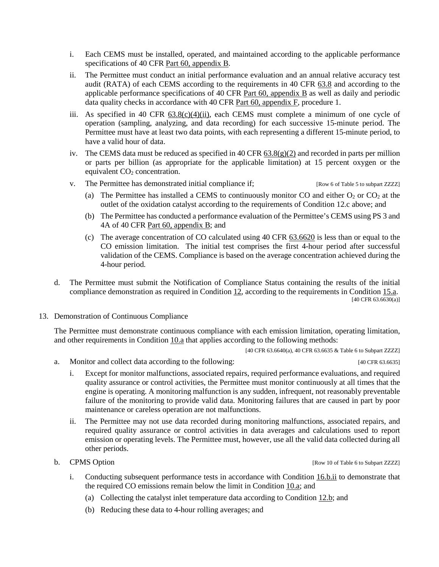- <span id="page-11-0"></span>i. Each CEMS must be installed, operated, and maintained according to the applicable performance specifications of 40 CFR [Part 60, appendix B.](https://tinyurl.com/40-CFR-60-APPENDICES)
- ii. The Permittee must conduct an initial performance evaluation and an annual relative accuracy test audit (RATA) of each CEMS according to the requirements in 40 CFR [63.8](https://tinyurl.com/40-CFR-63-8) and according to the applicable performance specifications of 40 CFR [Part 60, appendix B](https://tinyurl.com/40-CFR-60-APPENDICES) as well as daily and periodic data quality checks in accordance with 40 CFR Part  $60$ , appendix  $\overline{F}$ , procedure 1.
- iii. As specified in 40 CFR  $63.8(c)(4)(ii)$ , each CEMS must complete a minimum of one cycle of operation (sampling, analyzing, and data recording) for each successive 15-minute period. The Permittee must have at least two data points, with each representing a different 15-minute period, to have a valid hour of data.
- iv. The CEMS data must be reduced as specified in 40 CFR  $63.8(g)(2)$  and recorded in parts per million or parts per billion (as appropriate for the applicable limitation) at 15 percent oxygen or the equivalent  $CO<sub>2</sub>$  concentration.
- v. The Permittee has demonstrated initial compliance if: [Row 6 of Table 5 to subpart ZZZZ]
	- (a) The Permittee has installed a CEMS to continuously monitor CO and either  $O_2$  or CO<sub>2</sub> at the outlet of the oxidation catalyst according to the requirements of Condition 12.c above; and
	- (b) The Permittee has conducted a performance evaluation of the Permittee's CEMS using PS 3 and 4A of 40 CFR [Part 60, appendix B;](https://tinyurl.com/40-CFR-60-APPENDICES) and
	- (c) The average concentration of CO calculated using 40 CFR [63.6620](https://tinyurl.com/40-CFR-63-6620) is less than or equal to the CO emission limitation. The initial test comprises the first 4-hour period after successful validation of the CEMS. Compliance is based on the average concentration achieved during the 4-hour period.
- d. The Permittee must submit the Notification of Compliance Status containing the results of the initial compliance demonstration as required in [Condition 12,](#page-9-1) according to the requirements in [Condition 15.a.](#page-13-1)  $[40 \text{ CFR } 63.6630(a)]$
- 13. Demonstration of Continuous Compliance

The Permittee must demonstrate continuous compliance with each emission limitation, operating limitation, and other requirements in [Condition 10.a](#page-9-0) that applies according to the following methods:

[40 CFR 63.6640(a), 40 CFR 63.6635 & Table 6 to Subpart ZZZZ]

- <span id="page-11-1"></span>a. Monitor and collect data according to the following: [40 CFR 63.6635]
	- i. Except for monitor malfunctions, associated repairs, required performance evaluations, and required quality assurance or control activities, the Permittee must monitor continuously at all times that the engine is operating. A monitoring malfunction is any sudden, infrequent, not reasonably preventable failure of the monitoring to provide valid data. Monitoring failures that are caused in part by poor maintenance or careless operation are not malfunctions.
	- ii. The Permittee may not use data recorded during monitoring malfunctions, associated repairs, and required quality assurance or control activities in data averages and calculations used to report emission or operating levels. The Permittee must, however, use all the valid data collected during all other periods.

b. CPMS Option **EXECUTE:** [Row 10 of Table 6 to Subpart ZZZZ]

- i. Conducting subsequent performance tests in accordance with [Condition 16.b.ii](#page-14-1) to demonstrate that the required CO emissions remain below the limit in [Condition 10.a;](#page-9-0) and
	- (a) Collecting the catalyst inlet temperature data according to Condition  $12$ b; and
	- (b) Reducing these data to 4-hour rolling averages; and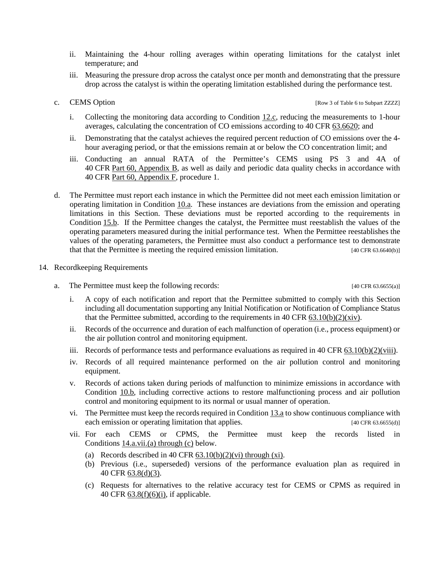- ii. Maintaining the 4-hour rolling averages within operating limitations for the catalyst inlet temperature; and
- iii. Measuring the pressure drop across the catalyst once per month and demonstrating that the pressure drop across the catalyst is within the operating limitation established during the performance test.
- 

c. CEMS Option [Row 3 of Table 6 to Subpart ZZZZ]

- i. Collecting the monitoring data according to [Condition 12.c,](#page-10-4) reducing the measurements to 1-hour averages, calculating the concentration of CO emissions according to 40 CFR [63.6620;](https://tinyurl.com/40-CFR-63-6620) and
- ii. Demonstrating that the catalyst achieves the required percent reduction of CO emissions over the 4 hour averaging period, or that the emissions remain at or below the CO concentration limit; and
- iii. Conducting an annual RATA of the Permittee's CEMS using PS 3 and 4A of 40 CFR Part 60, [Appendix B,](https://tinyurl.com/40-CFR-60-APPENDICES) as well as daily and periodic data quality checks in accordance with 40 CFR [Part 60, Appendix F,](file://Central.pima.gov/Centralfs/DEQ/_Shared%20Data/Air/0%20-%20Stationary%20Sources/Permits/3877/Permitting/2019/3877-101P/Draft%20Permit/Part%C2%A060,%C2%A0Appendix%20B) procedure 1.
- d. The Permittee must report each instance in which the Permittee did not meet each emission limitation or operating limitation in [Condition 10.a.](#page-9-1) These instances are deviations from the emission and operating limitations in this Section. These deviations must be reported according to the requirements in [Condition](#page-13-2) 15.b. If the Permittee changes the catalyst, the Permittee must reestablish the values of the operating parameters measured during the initial performance test. When the Permittee reestablishes the values of the operating parameters, the Permittee must also conduct a performance test to demonstrate that that the Permittee is meeting the required emission limitation. [40 CFR 63.6640(b)]

## 14. Recordkeeping Requirements

a. The Permittee must keep the following records: [40 CFR 63.6655(a)]

- i. A copy of each notification and report that the Permittee submitted to comply with this Section including all documentation supporting any Initial Notification or Notification of Compliance Status that the Permittee submitted, according to the requirements in 40 CFR  $63.10(b)(2)(xiv)$ .
- ii. Records of the occurrence and duration of each malfunction of operation (i.e., process equipment) or the air pollution control and monitoring equipment.
- iii. Records of performance tests and performance evaluations as required in 40 CFR  $63.10(b)(2)(viii)$ .
- iv. Records of all required maintenance performed on the air pollution control and monitoring equipment.
- v. Records of actions taken during periods of malfunction to minimize emissions in accordance with [Condition 10.b,](#page-9-2) including corrective actions to restore malfunctioning process and air pollution control and monitoring equipment to its normal or usual manner of operation.
- vi. The Permittee must keep the records required i[n Condition 13.a](#page-11-1) to show continuous compliance with each emission or operating limitation that applies. [40 CFR 63.6655(d)]
- <span id="page-12-0"></span>vii. For each CEMS or CPMS, the Permittee must keep the records listed in Conditions  $14.a.vii.(a)$  through  $(c)$  below.
	- (a) Records described in 40 CFR  $63.10(b)(2)(vi)$  through  $(xi)$ .
	- (b) Previous (i.e., superseded) versions of the performance evaluation plan as required in 40 CFR [63.8\(d\)\(3\).](https://tinyurl.com/40-CFR-63-8)
	- (c) Requests for alternatives to the relative accuracy test for CEMS or CPMS as required in 40 CFR [63.8\(f\)\(6\)\(i\),](https://tinyurl.com/40-CFR-63-8) if applicable.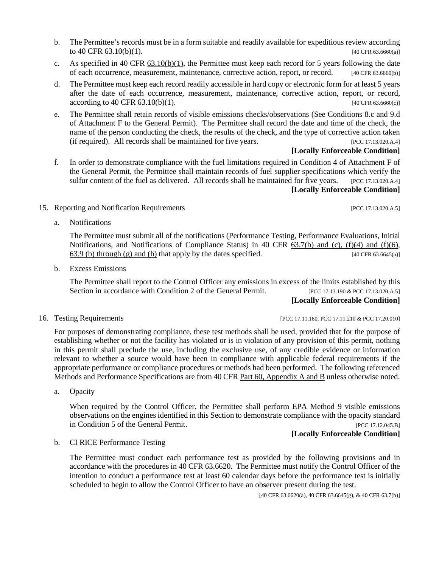- c. As specified in 40 CFR  $63.10(b)(1)$ , the Permittee must keep each record for 5 years following the date of each occurrence, measurement, maintenance, corrective action, report, or record. [40 CFR 63.6660(b)]
- d. The Permittee must keep each record readily accessible in hard copy or electronic form for at least 5 years after the date of each occurrence, measurement, maintenance, corrective action, report, or record,  $\arccording$  to 40 CFR [63.10\(b\)\(1\).](https://tinyurl.com/40-CFR-63-10) [40 CFR 63.6660(c)]
- e. The Permittee shall retain records of visible emissions checks/observations (See Conditions 8.c and 9.d of Attachment F to the General Permit). The Permittee shall record the date and time of the check, the name of the person conducting the check, the results of the check, and the type of corrective action taken (if required). All records shall be maintained for five years. [PCC 17.13.020.A.4]

# **[Locally Enforceable Condition]**

- f. In order to demonstrate compliance with the fuel limitations required in Condition 4 of Attachment F of the General Permit, the Permittee shall maintain records of fuel supplier specifications which verify the sulfur content of the fuel as delivered. All records shall be maintained for five years. [PCC 17.13.020.A.4] **[Locally Enforceable Condition]**
- <span id="page-13-1"></span>15. Reporting and Notification Requirements [PCC 17.13.020.A.5]
	- a. Notifications

The Permittee must submit all of the notifications (Performance Testing, Performance Evaluations, Initial Notifications, and Notifications of Compliance Status) in 40 CFR [63.7\(b\) and \(c\), \(f\)\(4\) and \(f\)\(6\),](https://tinyurl.com/40-CFR-63-7-incl)  63.9 [\(b\) through \(g\) and \(h\)](https://tinyurl.com/40-CFR-63-9) that apply by the dates specified.  $[40 \text{ CFR } 63.6645(a)]$ 

<span id="page-13-2"></span>b. Excess Emissions

The Permittee shall report to the Control Officer any emissions in excess of the limits established by this Section in accordance with Condition 2 of the General Permit. [PCC 17.13.190 & PCC 17.13.020.A.5] **[Locally Enforceable Condition]**

16. Testing Requirements [PCC 17.11.160, PCC 17.11.160, PCC 17.11.210 & PCC 17.20.010]

For purposes of demonstrating compliance, these test methods shall be used, provided that for the purpose of establishing whether or not the facility has violated or is in violation of any provision of this permit, nothing in this permit shall preclude the use, including the exclusive use, of any credible evidence or information relevant to whether a source would have been in compliance with applicable federal requirements if the appropriate performance or compliance procedures or methods had been performed. The following referenced Methods and Performance Specifications are from 40 CFR [Part 60, Appendix A and B](https://tinyurl.com/40-CFR-60-APPENDICES) unless otherwise noted.

a. Opacity

When required by the Control Officer, the Permittee shall perform EPA Method 9 visible emissions observations on the engines identified in this Section to demonstrate compliance with the opacity standard in Condition 5 of the General Permit. [PCC 17.12.045.B]

**[Locally Enforceable Condition]**

<span id="page-13-0"></span>b. CI RICE Performance Testing

The Permittee must conduct each performance test as provided by the following provisions and in accordance with the procedures in 40 CFR [63.6620.](https://tinyurl.com/40-CFR-63-6620) The Permittee must notify the Control Officer of the intention to conduct a performance test at least 60 calendar days before the performance test is initially scheduled to begin to allow the Control Officer to have an observer present during the test.

[40 CFR 63.6620(a), 40 CFR 63.6645(g), & 40 CFR 63.7(b)]